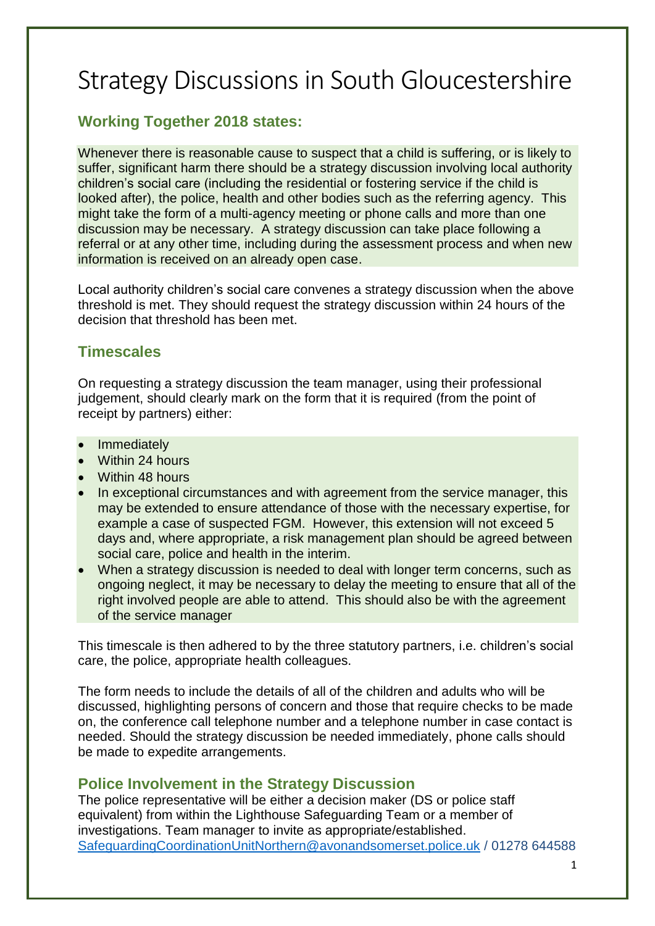# Strategy Discussions in South Gloucestershire

## **Working Together 2018 states:**

Whenever there is reasonable cause to suspect that a child is suffering, or is likely to suffer, significant harm there should be a strategy discussion involving local authority children's social care (including the residential or fostering service if the child is looked after), the police, health and other bodies such as the referring agency. This might take the form of a multi-agency meeting or phone calls and more than one discussion may be necessary. A strategy discussion can take place following a referral or at any other time, including during the assessment process and when new information is received on an already open case.

Local authority children's social care convenes a strategy discussion when the above threshold is met. They should request the strategy discussion within 24 hours of the decision that threshold has been met.

### **Timescales**

On requesting a strategy discussion the team manager, using their professional judgement, should clearly mark on the form that it is required (from the point of receipt by partners) either:

- Immediately
- Within 24 hours
- Within 48 hours
- In exceptional circumstances and with agreement from the service manager, this may be extended to ensure attendance of those with the necessary expertise, for example a case of suspected FGM. However, this extension will not exceed 5 days and, where appropriate, a risk management plan should be agreed between social care, police and health in the interim.
- When a strategy discussion is needed to deal with longer term concerns, such as ongoing neglect, it may be necessary to delay the meeting to ensure that all of the right involved people are able to attend. This should also be with the agreement of the service manager

This timescale is then adhered to by the three statutory partners, i.e. children's social care, the police, appropriate health colleagues.

The form needs to include the details of all of the children and adults who will be discussed, highlighting persons of concern and those that require checks to be made on, the conference call telephone number and a telephone number in case contact is needed. Should the strategy discussion be needed immediately, phone calls should be made to expedite arrangements.

#### **Police Involvement in the Strategy Discussion**

The police representative will be either a decision maker (DS or police staff equivalent) from within the Lighthouse Safeguarding Team or a member of investigations. Team manager to invite as appropriate/established. [SafeguardingCoordinationUnitNorthern@avonandsomerset.police.uk](mailto:SafeguardingCoordinationUnitNorthern@avonandsomerset.police.uk) / 01278 644588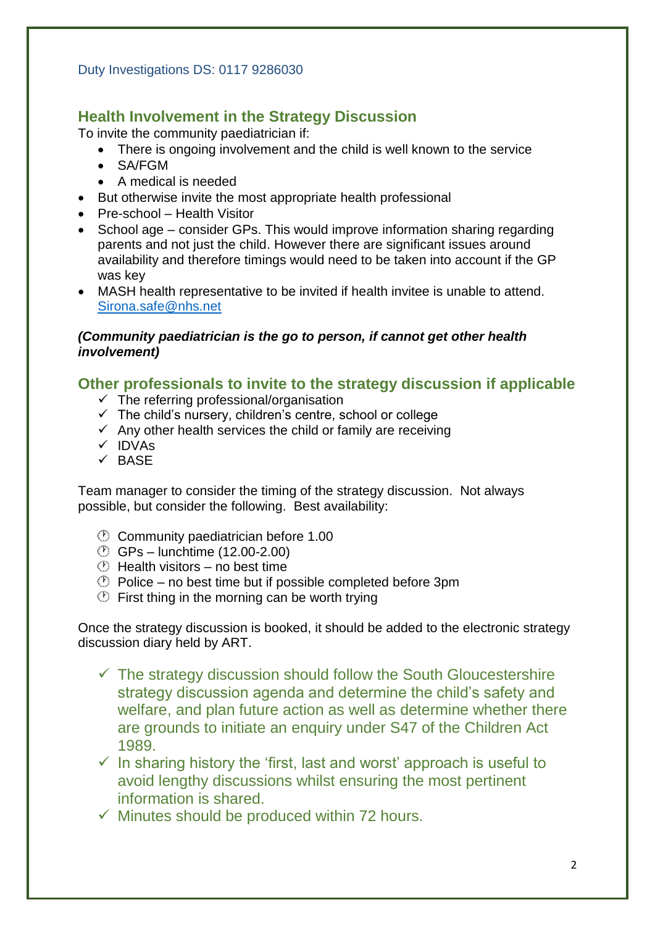### **Health Involvement in the Strategy Discussion**

To invite the community paediatrician if:

- There is ongoing involvement and the child is well known to the service
- SA/FGM
- A medical is needed
- But otherwise invite the most appropriate health professional
- Pre-school Health Visitor
- School age consider GPs. This would improve information sharing regarding parents and not just the child. However there are significant issues around availability and therefore timings would need to be taken into account if the GP was key
- MASH health representative to be invited if health invitee is unable to attend. [Sirona.safe@nhs.net](mailto:Sirona.safe@nhs.net)

#### *(Community paediatrician is the go to person, if cannot get other health involvement)*

#### **Other professionals to invite to the strategy discussion if applicable**

- $\checkmark$  The referring professional/organisation
- The child's nursery, children's centre, school or college
- $\checkmark$  Any other health services the child or family are receiving
- $\times$  IDVAs
- $\times$  BASE

Team manager to consider the timing of the strategy discussion. Not always possible, but consider the following. Best availability:

- Community paediatrician before 1.00
- GPs lunchtime (12.00-2.00)
- $\circled{1}$  Health visitors no best time
- $\circled{P}$  Police no best time but if possible completed before 3pm
- $\circled{1}$  First thing in the morning can be worth trying

Once the strategy discussion is booked, it should be added to the electronic strategy discussion diary held by ART.

- $\checkmark$  The strategy discussion should follow the South Gloucestershire strategy discussion agenda and determine the child's safety and welfare, and plan future action as well as determine whether there are grounds to initiate an enquiry under S47 of the Children Act 1989.
- $\checkmark$  In sharing history the 'first, last and worst' approach is useful to avoid lengthy discussions whilst ensuring the most pertinent information is shared.
- $\checkmark$  Minutes should be produced within 72 hours.